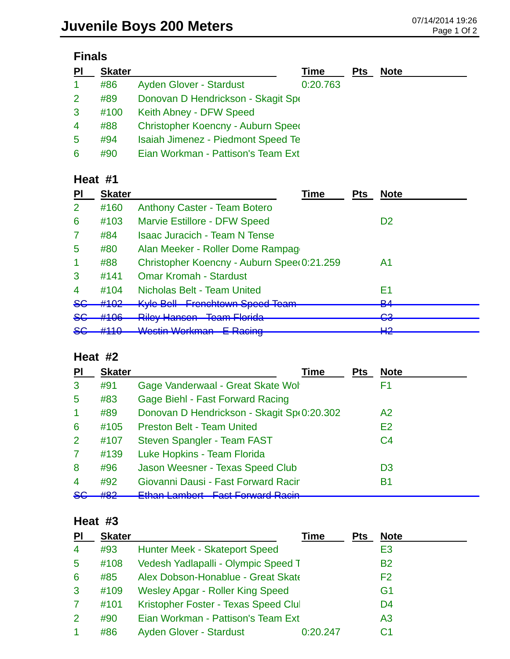# **Finals**

| PI                   | <b>Skater</b> |                                           | Time     | <b>Pts</b> | <b>Note</b> |
|----------------------|---------------|-------------------------------------------|----------|------------|-------------|
| $\blacktriangleleft$ | #86           | <b>Ayden Glover - Stardust</b>            | 0:20.763 |            |             |
| 2                    | #89           | Donovan D Hendrickson - Skagit Spe        |          |            |             |
| 3                    | #100          | Keith Abney - DFW Speed                   |          |            |             |
| $\overline{4}$       | #88           | Christopher Koencny - Auburn Speed        |          |            |             |
| 5                    | #94           | <b>Isaiah Jimenez - Piedmont Speed Te</b> |          |            |             |
| 6                    | #90           | Eian Workman - Pattison's Team Ext        |          |            |             |

### **Heat #1**

| PI             | <b>Skater</b> | Time                                                   | <b>Pts</b> | <b>Note</b>    |
|----------------|---------------|--------------------------------------------------------|------------|----------------|
| $\overline{2}$ | #160          | <b>Anthony Caster - Team Botero</b>                    |            |                |
| 6              | #103          | <b>Marvie Estillore - DFW Speed</b>                    |            | D <sub>2</sub> |
| 7              | #84           | <b>Isaac Juracich - Team N Tense</b>                   |            |                |
| 5              | #80           | Alan Meeker - Roller Dome Rampage                      |            |                |
|                | #88           | Christopher Koencny - Auburn Spee(0:21.259             |            | A1             |
| 3              | #141          | <b>Omar Kromah - Stardust</b>                          |            |                |
| $\overline{4}$ | #104          | <b>Nicholas Belt - Team United</b>                     |            | E1             |
| <del>SC</del>  | #102          | <b>Kyle Bell Frenchtown Speed Team</b>                 |            | D 1<br>דס      |
| <del>SG</del>  | #106          | <u> Diloy Hancon Toom Elorida</u><br><b>THEURIPAST</b> |            | റാ<br>᠊ᢦᢦ      |
| <del>SG</del>  | 4440          | Wastin Warkman E Dooing<br>wumman<br><u>L Twomiy</u>   |            | ⊔റ<br>ПС       |

### **Heat #2**

| PI                      | <b>Skater</b> | Time                                       | <b>Pts</b> | <b>Note</b>    |
|-------------------------|---------------|--------------------------------------------|------------|----------------|
| 3                       | #91           | Gage Vanderwaal - Great Skate Wol          |            | F1             |
| 5                       | #83           | <b>Gage Biehl - Fast Forward Racing</b>    |            |                |
| $\blacktriangleleft$    | #89           | Donovan D Hendrickson - Skagit Sp(0:20.302 |            | A2             |
| 6                       | #105          | <b>Preston Belt - Team United</b>          |            | E <sub>2</sub> |
| $\overline{2}$          | #107          | Steven Spangler - Team FAST                |            | C <sub>4</sub> |
| $\mathbf{7}$            | #139          | Luke Hopkins - Team Florida                |            |                |
| 8                       | #96           | Jason Weesner - Texas Speed Club           |            | D <sub>3</sub> |
| $\overline{\mathbf{4}}$ | #92           | Giovanni Dausi - Fast Forward Racir        |            | Β1             |
| <del>SG</del>           | 40റ<br>πoΖ    | Ethan Lambort East Fenyard Dooin           |            |                |

#### **Heat #3**

| PI                   | <b>Skater</b> |                                         | Time     | <b>Pts</b> | <b>Note</b>    |
|----------------------|---------------|-----------------------------------------|----------|------------|----------------|
| $\overline{4}$       | #93           | <b>Hunter Meek - Skateport Speed</b>    |          |            | E3             |
| 5                    | #108          | Vedesh Yadlapalli - Olympic Speed T     |          |            | <b>B2</b>      |
| 6                    | #85           | Alex Dobson-Honablue - Great Skate      |          |            | F <sub>2</sub> |
| 3                    | #109          | <b>Wesley Apgar - Roller King Speed</b> |          |            | G <sub>1</sub> |
| 7                    | #101          | Kristopher Foster - Texas Speed Clul    |          |            | D <sub>4</sub> |
| 2                    | #90           | Eian Workman - Pattison's Team Ext      |          |            | A3             |
| $\blacktriangleleft$ | #86           | <b>Ayden Glover - Stardust</b>          | 0:20.247 |            | C1             |